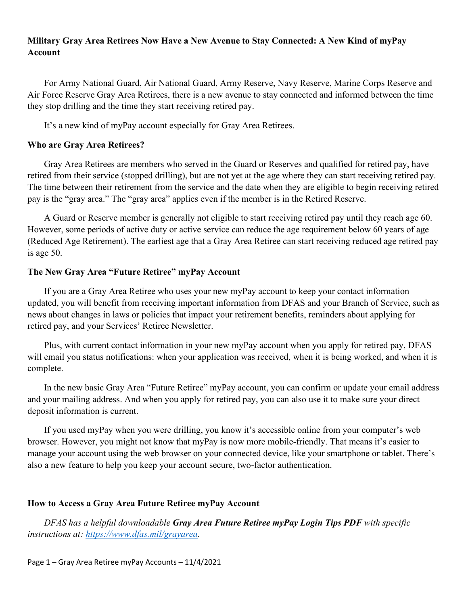# **Military Gray Area Retirees Now Have a New Avenue to Stay Connected: A New Kind of myPay Account**

For Army National Guard, Air National Guard, Army Reserve, Navy Reserve, Marine Corps Reserve and Air Force Reserve Gray Area Retirees, there is a new avenue to stay connected and informed between the time they stop drilling and the time they start receiving retired pay.

It's a new kind of myPay account especially for Gray Area Retirees.

### **Who are Gray Area Retirees?**

Gray Area Retirees are members who served in the Guard or Reserves and qualified for retired pay, have retired from their service (stopped drilling), but are not yet at the age where they can start receiving retired pay. The time between their retirement from the service and the date when they are eligible to begin receiving retired pay is the "gray area." The "gray area" applies even if the member is in the Retired Reserve.

A Guard or Reserve member is generally not eligible to start receiving retired pay until they reach age 60. However, some periods of active duty or active service can reduce the age requirement below 60 years of age (Reduced Age Retirement). The earliest age that a Gray Area Retiree can start receiving reduced age retired pay is age 50.

#### **The New Gray Area "Future Retiree" myPay Account**

If you are a Gray Area Retiree who uses your new myPay account to keep your contact information updated, you will benefit from receiving important information from DFAS and your Branch of Service, such as news about changes in laws or policies that impact your retirement benefits, reminders about applying for retired pay, and your Services' Retiree Newsletter.

Plus, with current contact information in your new myPay account when you apply for retired pay, DFAS will email you status notifications: when your application was received, when it is being worked, and when it is complete.

In the new basic Gray Area "Future Retiree" myPay account, you can confirm or update your email address and your mailing address. And when you apply for retired pay, you can also use it to make sure your direct deposit information is current.

If you used myPay when you were drilling, you know it's accessible online from your computer's web browser. However, you might not know that myPay is now more mobile-friendly. That means it's easier to manage your account using the web browser on your connected device, like your smartphone or tablet. There's also a new feature to help you keep your account secure, two-factor authentication.

## **How to Access a Gray Area Future Retiree myPay Account**

*DFAS has a helpful downloadable Gray Area Future Retiree myPay Login Tips PDF with specific instructions at: [https://www.dfas.mil/grayarea.](https://www.dfas.mil/grayarea)*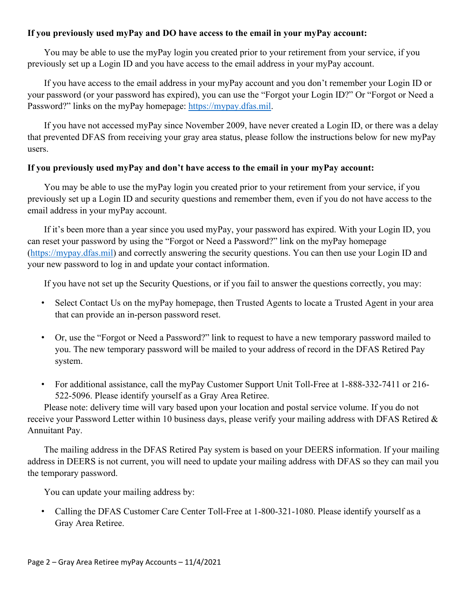### **If you previously used myPay and DO have access to the email in your myPay account:**

You may be able to use the myPay login you created prior to your retirement from your service, if you previously set up a Login ID and you have access to the email address in your myPay account.

If you have access to the email address in your myPay account and you don't remember your Login ID or your password (or your password has expired), you can use the "Forgot your Login ID?" Or "Forgot or Need a Password?" links on the myPay homepage: [https://mypay.dfas.mil.](https://mypay.dfas.mil/)

If you have not accessed myPay since November 2009, have never created a Login ID, or there was a delay that prevented DFAS from receiving your gray area status, please follow the instructions below for new myPay users.

#### **If you previously used myPay and don't have access to the email in your myPay account:**

You may be able to use the myPay login you created prior to your retirement from your service, if you previously set up a Login ID and security questions and remember them, even if you do not have access to the email address in your myPay account.

If it's been more than a year since you used myPay, your password has expired. With your Login ID, you can reset your password by using the "Forgot or Need a Password?" link on the myPay homepage [\(https://mypay.dfas.mil\)](https://mypay.dfas.mil/) and correctly answering the security questions. You can then use your Login ID and your new password to log in and update your contact information.

If you have not set up the Security Questions, or if you fail to answer the questions correctly, you may:

- Select Contact Us on the myPay homepage, then Trusted Agents to locate a Trusted Agent in your area that can provide an in-person password reset.
- Or, use the "Forgot or Need a Password?" link to request to have a new temporary password mailed to you. The new temporary password will be mailed to your address of record in the DFAS Retired Pay system.
- For additional assistance, call the myPay Customer Support Unit Toll-Free at 1-888-332-7411 or 216- 522-5096. Please identify yourself as a Gray Area Retiree.

Please note: delivery time will vary based upon your location and postal service volume. If you do not receive your Password Letter within 10 business days, please verify your mailing address with DFAS Retired & Annuitant Pay.

The mailing address in the DFAS Retired Pay system is based on your DEERS information. If your mailing address in DEERS is not current, you will need to update your mailing address with DFAS so they can mail you the temporary password.

You can update your mailing address by:

• Calling the DFAS Customer Care Center Toll-Free at 1-800-321-1080. Please identify yourself as a Gray Area Retiree.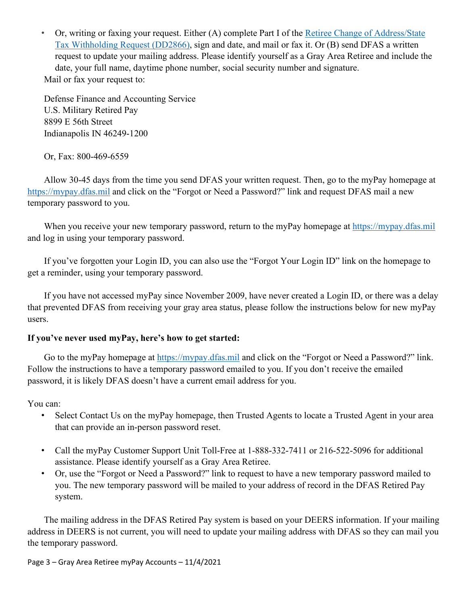• Or, writing or faxing your request. Either (A) complete Part I of the Retiree Change of Address/State [Tax Withholding Request \(DD2866\),](https://www.dfas.mil/raforms) sign and date, and mail or fax it. Or (B) send DFAS a written request to update your mailing address. Please identify yourself as a Gray Area Retiree and include the date, your full name, daytime phone number, social security number and signature. Mail or fax your request to:

Defense Finance and Accounting Service U.S. Military Retired Pay 8899 E 56th Street Indianapolis IN 46249-1200

Or, Fax: 800-469-6559

Allow 30-45 days from the time you send DFAS your written request. Then, go to the myPay homepage at [https://mypay.dfas.mil](https://mypay.dfas.mil/) and click on the "Forgot or Need a Password?" link and request DFAS mail a new temporary password to you.

When you receive your new temporary password, return to the myPay homepage at [https://mypay.dfas.mil](https://mypay.dfas.mil/) and log in using your temporary password.

If you've forgotten your Login ID, you can also use the "Forgot Your Login ID" link on the homepage to get a reminder, using your temporary password.

If you have not accessed myPay since November 2009, have never created a Login ID, or there was a delay that prevented DFAS from receiving your gray area status, please follow the instructions below for new myPay users.

# **If you've never used myPay, here's how to get started:**

Go to the myPay homepage at [https://mypay.dfas.mil](https://mypay.dfas.mil/) and click on the "Forgot or Need a Password?" link. Follow the instructions to have a temporary password emailed to you. If you don't receive the emailed password, it is likely DFAS doesn't have a current email address for you.

You can:

- Select Contact Us on the myPay homepage, then Trusted Agents to locate a Trusted Agent in your area that can provide an in-person password reset.
- Call the myPay Customer Support Unit Toll-Free at 1-888-332-7411 or 216-522-5096 for additional assistance. Please identify yourself as a Gray Area Retiree.
- Or, use the "Forgot or Need a Password?" link to request to have a new temporary password mailed to you. The new temporary password will be mailed to your address of record in the DFAS Retired Pay system.

The mailing address in the DFAS Retired Pay system is based on your DEERS information. If your mailing address in DEERS is not current, you will need to update your mailing address with DFAS so they can mail you the temporary password.